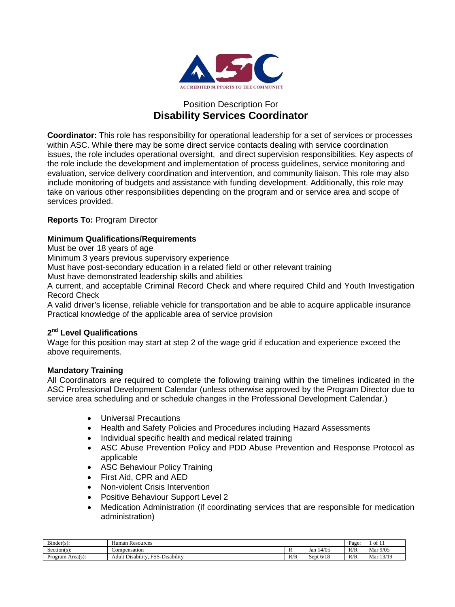

# Position Description For **Disability Services Coordinator**

**Coordinator:** This role has responsibility for operational leadership for a set of services or processes within ASC. While there may be some direct service contacts dealing with service coordination issues, the role includes operational oversight, and direct supervision responsibilities. Key aspects of the role include the development and implementation of process guidelines, service monitoring and evaluation, service delivery coordination and intervention, and community liaison. This role may also include monitoring of budgets and assistance with funding development. Additionally, this role may take on various other responsibilities depending on the program and or service area and scope of services provided.

# **Reports To:** Program Director

# **Minimum Qualifications/Requirements**

Must be over 18 years of age

Minimum 3 years previous supervisory experience

Must have post-secondary education in a related field or other relevant training

Must have demonstrated leadership skills and abilities

A current, and acceptable Criminal Record Check and where required Child and Youth Investigation Record Check

A valid driver's license, reliable vehicle for transportation and be able to acquire applicable insurance Practical knowledge of the applicable area of service provision

# **2nd Level Qualifications**

Wage for this position may start at step 2 of the wage grid if education and experience exceed the above requirements.

# **Mandatory Training**

All Coordinators are required to complete the following training within the timelines indicated in the ASC Professional Development Calendar (unless otherwise approved by the Program Director due to service area scheduling and or schedule changes in the Professional Development Calendar.)

- Universal Precautions
- Health and Safety Policies and Procedures including Hazard Assessments
- Individual specific health and medical related training
- ASC Abuse Prevention Policy and PDD Abuse Prevention and Response Protocol as applicable
- ASC Behaviour Policy Training
- First Aid, CPR and AED
- Non-violent Crisis Intervention
- Positive Behaviour Support Level 2
- Medication Administration (if coordinating services that are responsible for medication administration)

| $\sim$<br>Binder(s)      | Human<br>Resources                                                                        |            |                       |     | . .<br>$\frac{1}{1}$ of 1. |
|--------------------------|-------------------------------------------------------------------------------------------|------------|-----------------------|-----|----------------------------|
| $\sim$<br>$Section(s)$ : | Compensation                                                                              |            | 14/05<br>Jan          | R/R | Mar 9/05                   |
| Program Area(s):         | $\cdots$<br>$\sim$<br>$\dots$<br><b>ECC</b><br>-Disability<br>Adult<br>. Disability<br>ມມ | D/D<br>K/K | 6/10<br>sept<br>-6/18 | R/R | 13/19<br>Mar               |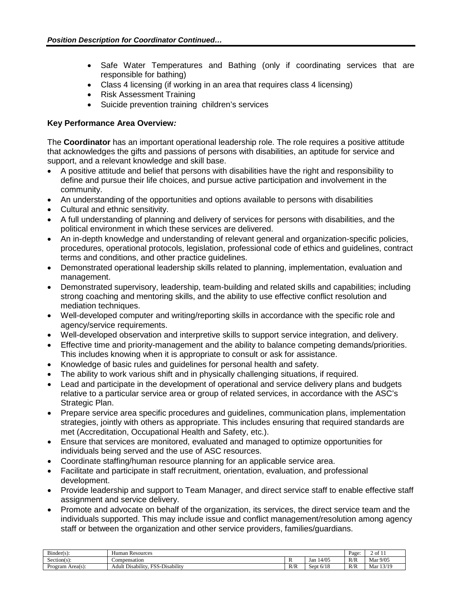- Safe Water Temperatures and Bathing (only if coordinating services that are responsible for bathing)
- Class 4 licensing (if working in an area that requires class 4 licensing)
- Risk Assessment Training
- Suicide prevention training children's services

# **Key Performance Area Overview***:*

The **Coordinator** has an important operational leadership role. The role requires a positive attitude that acknowledges the gifts and passions of persons with disabilities, an aptitude for service and support, and a relevant knowledge and skill base.

- A positive attitude and belief that persons with disabilities have the right and responsibility to define and pursue their life choices, and pursue active participation and involvement in the community.
- An understanding of the opportunities and options available to persons with disabilities
- Cultural and ethnic sensitivity.
- A full understanding of planning and delivery of services for persons with disabilities, and the political environment in which these services are delivered.
- An in-depth knowledge and understanding of relevant general and organization-specific policies, procedures, operational protocols, legislation, professional code of ethics and guidelines, contract terms and conditions, and other practice guidelines.
- Demonstrated operational leadership skills related to planning, implementation, evaluation and management.
- Demonstrated supervisory, leadership, team-building and related skills and capabilities; including strong coaching and mentoring skills, and the ability to use effective conflict resolution and mediation techniques.
- Well-developed computer and writing/reporting skills in accordance with the specific role and agency/service requirements.
- Well-developed observation and interpretive skills to support service integration, and delivery.
- Effective time and priority-management and the ability to balance competing demands/priorities. This includes knowing when it is appropriate to consult or ask for assistance.
- Knowledge of basic rules and guidelines for personal health and safety.
- The ability to work various shift and in physically challenging situations, if required.
- Lead and participate in the development of operational and service delivery plans and budgets relative to a particular service area or group of related services, in accordance with the ASC's Strategic Plan.
- Prepare service area specific procedures and guidelines, communication plans, implementation strategies, jointly with others as appropriate. This includes ensuring that required standards are met (Accreditation, Occupational Health and Safety, etc.).
- Ensure that services are monitored, evaluated and managed to optimize opportunities for individuals being served and the use of ASC resources.
- Coordinate staffing/human resource planning for an applicable service area.
- Facilitate and participate in staff recruitment, orientation, evaluation, and professional development.
- Provide leadership and support to Team Manager, and direct service staff to enable effective staff assignment and service delivery.
- Promote and advocate on behalf of the organization, its services, the direct service team and the individuals supported. This may include issue and conflict management/resolution among agency staff or between the organization and other service providers, families/guardians.

| $\mathbf{r}$<br>$Binder(s)$ : | Human<br>Resources                                                                |     |              | Page | 2011         |
|-------------------------------|-----------------------------------------------------------------------------------|-----|--------------|------|--------------|
| $Section(s)$ :                | Compensation                                                                      | . . | 14/05<br>Jan | R/R  | Mar 9/05     |
| -<br>Program Area(s):         | $\sim$<br>$\cdots$<br>ra<br>$\cdots$<br>Adult<br>-Disabilitv<br>. Disability<br>. | R/R | 6/18<br>Sept | R/R  | 13/19<br>Mar |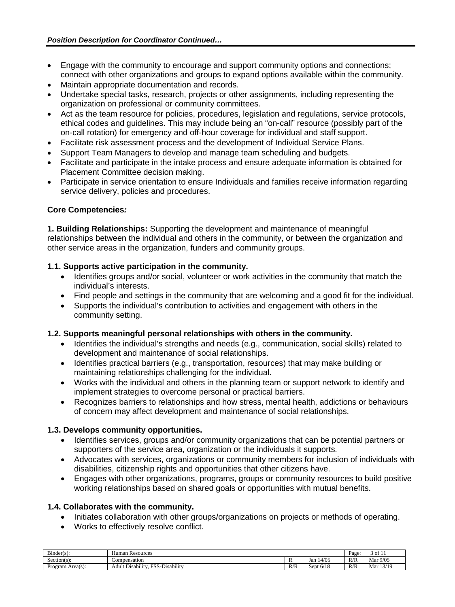- Engage with the community to encourage and support community options and connections: connect with other organizations and groups to expand options available within the community.
- Maintain appropriate documentation and records.
- Undertake special tasks, research, projects or other assignments, including representing the organization on professional or community committees.
- Act as the team resource for policies, procedures, legislation and regulations, service protocols, ethical codes and guidelines. This may include being an "on-call" resource (possibly part of the on-call rotation) for emergency and off-hour coverage for individual and staff support.
- Facilitate risk assessment process and the development of Individual Service Plans.
- Support Team Managers to develop and manage team scheduling and budgets.
- Facilitate and participate in the intake process and ensure adequate information is obtained for Placement Committee decision making.
- Participate in service orientation to ensure Individuals and families receive information regarding service delivery, policies and procedures.

# **Core Competencies***:*

**1. Building Relationships:** Supporting the development and maintenance of meaningful relationships between the individual and others in the community, or between the organization and other service areas in the organization, funders and community groups.

### **1.1. Supports active participation in the community.**

- Identifies groups and/or social, volunteer or work activities in the community that match the individual's interests.
- Find people and settings in the community that are welcoming and a good fit for the individual.
- Supports the individual's contribution to activities and engagement with others in the community setting.

# **1.2. Supports meaningful personal relationships with others in the community.**

- Identifies the individual's strengths and needs (e.g., communication, social skills) related to development and maintenance of social relationships.
- Identifies practical barriers (e.g., transportation, resources) that may make building or maintaining relationships challenging for the individual.
- Works with the individual and others in the planning team or support network to identify and implement strategies to overcome personal or practical barriers.
- Recognizes barriers to relationships and how stress, mental health, addictions or behaviours of concern may affect development and maintenance of social relationships.

### **1.3. Develops community opportunities.**

- Identifies services, groups and/or community organizations that can be potential partners or supporters of the service area, organization or the individuals it supports.
- Advocates with services, organizations or community members for inclusion of individuals with disabilities, citizenship rights and opportunities that other citizens have.
- Engages with other organizations, programs, groups or community resources to build positive working relationships based on shared goals or opportunities with mutual benefits.

# **1.4. Collaborates with the community.**

- Initiates collaboration with other groups/organizations on projects or methods of operating.
- Works to effectively resolve conflict.

| $\mathbf{r}$<br>$Binder(s)$ : | Human Resources                                                                                                              |           |                                                       | Page | $\rightarrow$ of 1.                      |
|-------------------------------|------------------------------------------------------------------------------------------------------------------------------|-----------|-------------------------------------------------------|------|------------------------------------------|
| $\sim$<br>$Section(s)$ :      | Compensation                                                                                                                 |           | 14/05<br>Jan                                          | R/R  | Mar 9/05                                 |
| Program Area(s):              | $\cdots$<br>$T^{C}$<br>$\cdots$<br>$\sim$<br>$\overline{\phantom{a}}$<br>Disability<br>Disability<br>Adult<br>ъ.<br>$\cdots$ | D/T<br>NN | 710<br>$\sim$ $\alpha r$ <sup>+</sup><br>-6/18<br>いしい | R/R  | 13/19<br>Mar<br>$\overline{\phantom{a}}$ |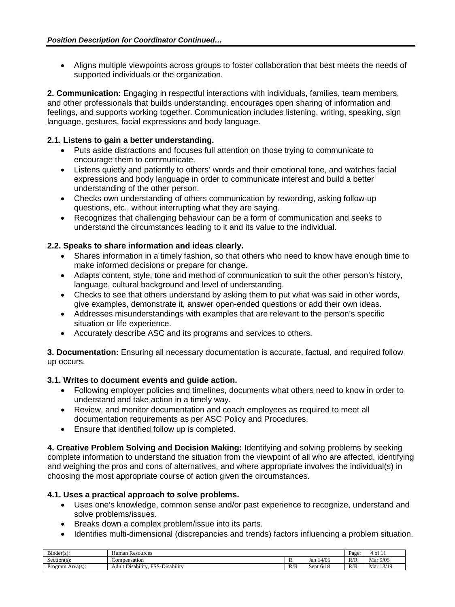• Aligns multiple viewpoints across groups to foster collaboration that best meets the needs of supported individuals or the organization.

**2. Communication:** Engaging in respectful interactions with individuals, families, team members, and other professionals that builds understanding, encourages open sharing of information and feelings, and supports working together. Communication includes listening, writing, speaking, sign language, gestures, facial expressions and body language.

### **2.1. Listens to gain a better understanding.**

- Puts aside distractions and focuses full attention on those trying to communicate to encourage them to communicate.
- Listens quietly and patiently to others' words and their emotional tone, and watches facial expressions and body language in order to communicate interest and build a better understanding of the other person.
- Checks own understanding of others communication by rewording, asking follow-up questions, etc., without interrupting what they are saying.
- Recognizes that challenging behaviour can be a form of communication and seeks to understand the circumstances leading to it and its value to the individual.

### **2.2. Speaks to share information and ideas clearly.**

- Shares information in a timely fashion, so that others who need to know have enough time to make informed decisions or prepare for change.
- Adapts content, style, tone and method of communication to suit the other person's history, language, cultural background and level of understanding.
- Checks to see that others understand by asking them to put what was said in other words, give examples, demonstrate it, answer open-ended questions or add their own ideas.
- Addresses misunderstandings with examples that are relevant to the person's specific situation or life experience.
- Accurately describe ASC and its programs and services to others.

**3. Documentation:** Ensuring all necessary documentation is accurate, factual, and required follow up occurs.

### **3.1. Writes to document events and guide action.**

- Following employer policies and timelines, documents what others need to know in order to understand and take action in a timely way.
- Review, and monitor documentation and coach employees as required to meet all documentation requirements as per ASC Policy and Procedures.
- Ensure that identified follow up is completed.

**4. Creative Problem Solving and Decision Making:** Identifying and solving problems by seeking complete information to understand the situation from the viewpoint of all who are affected, identifying and weighing the pros and cons of alternatives, and where appropriate involves the individual(s) in choosing the most appropriate course of action given the circumstances.

### **4.1. Uses a practical approach to solve problems.**

- Uses one's knowledge, common sense and/or past experience to recognize, understand and solve problems/issues.
- Breaks down a complex problem/issue into its parts.
- Identifies multi-dimensional (discrepancies and trends) factors influencing a problem situation.

| $\sim$ $\cdot$<br>$Binder(s)$ :          | Human<br>Resources                                                                 |     |              | Page | - of                              |
|------------------------------------------|------------------------------------------------------------------------------------|-----|--------------|------|-----------------------------------|
| $\sim$<br>$Section(s)$ :                 | Compensation                                                                       |     | 4/05<br>Jan  | R/R  | 9/05<br>Mar                       |
| $\blacksquare$<br>$Area(s)$ :<br>Program | $\cdots$<br>$\sim$<br>∽∙<br>.<br>EC 6<br>Adult<br>-Disability<br>Disabilit<br>ندهد | R/R | 6/18<br>Sept | R/R  | 12/10<br>Mar<br>$\gamma$<br>1 J I |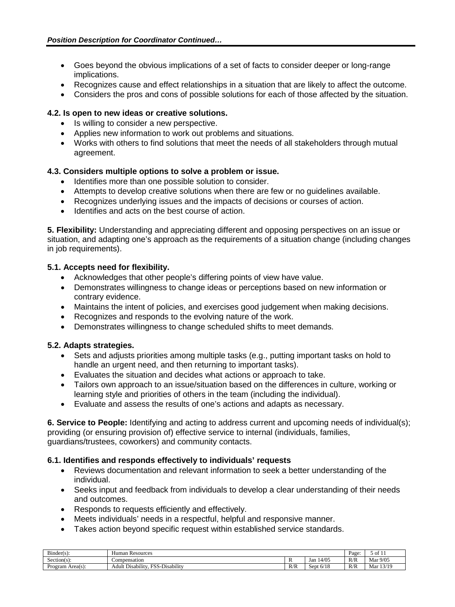- Goes beyond the obvious implications of a set of facts to consider deeper or long-range implications.
- Recognizes cause and effect relationships in a situation that are likely to affect the outcome.
- Considers the pros and cons of possible solutions for each of those affected by the situation.

### **4.2. Is open to new ideas or creative solutions.**

- Is willing to consider a new perspective.
- Applies new information to work out problems and situations.
- Works with others to find solutions that meet the needs of all stakeholders through mutual agreement.

### **4.3. Considers multiple options to solve a problem or issue.**

- Identifies more than one possible solution to consider.
- Attempts to develop creative solutions when there are few or no guidelines available.
- Recognizes underlying issues and the impacts of decisions or courses of action.
- Identifies and acts on the best course of action.

**5. Flexibility:** Understanding and appreciating different and opposing perspectives on an issue or situation, and adapting one's approach as the requirements of a situation change (including changes in job requirements).

### **5.1. Accepts need for flexibility.**

- Acknowledges that other people's differing points of view have value.
- Demonstrates willingness to change ideas or perceptions based on new information or contrary evidence.
- Maintains the intent of policies, and exercises good judgement when making decisions.
- Recognizes and responds to the evolving nature of the work.
- Demonstrates willingness to change scheduled shifts to meet demands.

### **5.2. Adapts strategies.**

- Sets and adjusts priorities among multiple tasks (e.g., putting important tasks on hold to handle an urgent need, and then returning to important tasks).
- Evaluates the situation and decides what actions or approach to take.
- Tailors own approach to an issue/situation based on the differences in culture, working or learning style and priorities of others in the team (including the individual).
- Evaluate and assess the results of one's actions and adapts as necessary.

**6. Service to People:** Identifying and acting to address current and upcoming needs of individual(s); providing (or ensuring provision of) effective service to internal (individuals, families, guardians/trustees, coworkers) and community contacts.

# **6.1. Identifies and responds effectively to individuals' requests**

- Reviews documentation and relevant information to seek a better understanding of the individual.
- Seeks input and feedback from individuals to develop a clear understanding of their needs and outcomes.
- Responds to requests efficiently and effectively.
- Meets individuals' needs in a respectful, helpful and responsive manner.
- Takes action beyond specific request within established service standards.

| $\sim$<br>$Binder(s)$ : | Human<br><b>Resources</b>                             | -<br>Page | $\overline{\phantom{a}}$<br>$\sim$ 01 1 1 |     |              |
|-------------------------|-------------------------------------------------------|-----------|-------------------------------------------|-----|--------------|
| $Section(s)$ :          | Compensation                                          |           | 14/05<br>Jan                              | R/R | Mar 9/05     |
| Program Area(s):        | ECC<br>-Disability<br>Disability<br>Adult<br>$.3.3-7$ | R/R       | 6/18<br>Sept                              | R/R | 13/19<br>Mar |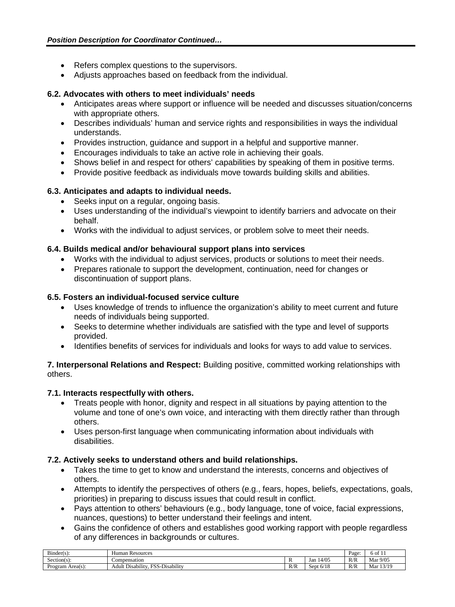- Refers complex questions to the supervisors.
- Adjusts approaches based on feedback from the individual.

### **6.2. Advocates with others to meet individuals' needs**

- Anticipates areas where support or influence will be needed and discusses situation/concerns with appropriate others.
- Describes individuals' human and service rights and responsibilities in ways the individual understands.
- Provides instruction, guidance and support in a helpful and supportive manner.
- Encourages individuals to take an active role in achieving their goals.
- Shows belief in and respect for others' capabilities by speaking of them in positive terms.
- Provide positive feedback as individuals move towards building skills and abilities.

### **6.3. Anticipates and adapts to individual needs.**

- Seeks input on a regular, ongoing basis.
- Uses understanding of the individual's viewpoint to identify barriers and advocate on their behalf.
- Works with the individual to adjust services, or problem solve to meet their needs.

### **6.4. Builds medical and/or behavioural support plans into services**

- Works with the individual to adjust services, products or solutions to meet their needs.
- Prepares rationale to support the development, continuation, need for changes or discontinuation of support plans.

### **6.5. Fosters an individual-focused service culture**

- Uses knowledge of trends to influence the organization's ability to meet current and future needs of individuals being supported.
- Seeks to determine whether individuals are satisfied with the type and level of supports provided.
- Identifies benefits of services for individuals and looks for ways to add value to services.

### **7. Interpersonal Relations and Respect:** Building positive, committed working relationships with others.

### **7.1. Interacts respectfully with others.**

- Treats people with honor, dignity and respect in all situations by paying attention to the volume and tone of one's own voice, and interacting with them directly rather than through others.
- Uses person-first language when communicating information about individuals with disabilities.

# **7.2. Actively seeks to understand others and build relationships.**

- Takes the time to get to know and understand the interests, concerns and objectives of others.
- Attempts to identify the perspectives of others (e.g., fears, hopes, beliefs, expectations, goals, priorities) in preparing to discuss issues that could result in conflict.
- Pays attention to others' behaviours (e.g., body language, tone of voice, facial expressions, nuances, questions) to better understand their feelings and intent.
- Gains the confidence of others and establishes good working rapport with people regardless of any differences in backgrounds or cultures.

| $\sim$<br>$Bunder(s)$ : | : Resources<br>Human                                                    |     |                          | Page | -<br>ነ OI<br>. . |
|-------------------------|-------------------------------------------------------------------------|-----|--------------------------|------|------------------|
| -<br>$Section(s)$ :     | Compensation                                                            |     | 14/05<br>Jan             | R/R  | Mar 9/05         |
| -<br>Program Area(s):   | $\cdots$<br>F''<br>$\cdots$<br>Disability<br>. Disability<br>Adult<br>. | R/R | 2110<br>Sept<br>. O/ 1 C | R/R  | 13/19<br>Mar     |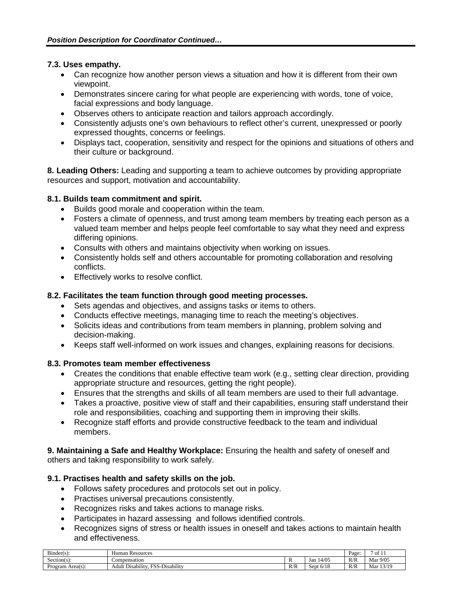### **7.3. Uses empathy.**

- Can recognize how another person views a situation and how it is different from their own viewpoint.
- Demonstrates sincere caring for what people are experiencing with words, tone of voice, facial expressions and body language.
- Observes others to anticipate reaction and tailors approach accordingly.
- Consistently adjusts one's own behaviours to reflect other's current, unexpressed or poorly expressed thoughts, concerns or feelings.
- Displays tact, cooperation, sensitivity and respect for the opinions and situations of others and their culture or background.

**8. Leading Others:** Leading and supporting a team to achieve outcomes by providing appropriate resources and support, motivation and accountability.

### **8.1. Builds team commitment and spirit.**

- Builds good morale and cooperation within the team.
- Fosters a climate of openness, and trust among team members by treating each person as a valued team member and helps people feel comfortable to say what they need and express differing opinions.
- Consults with others and maintains objectivity when working on issues.
- Consistently holds self and others accountable for promoting collaboration and resolving conflicts.
- Effectively works to resolve conflict.

### **8.2. Facilitates the team function through good meeting processes.**

- Sets agendas and objectives, and assigns tasks or items to others.
- Conducts effective meetings, managing time to reach the meeting's objectives.
- Solicits ideas and contributions from team members in planning, problem solving and decision-making.
- Keeps staff well-informed on work issues and changes, explaining reasons for decisions.

### **8.3. Promotes team member effectiveness**

- Creates the conditions that enable effective team work (e.g., setting clear direction, providing appropriate structure and resources, getting the right people).
- Ensures that the strengths and skills of all team members are used to their full advantage.
- Takes a proactive, positive view of staff and their capabilities, ensuring staff understand their role and responsibilities, coaching and supporting them in improving their skills.
- Recognize staff efforts and provide constructive feedback to the team and individual members.

**9. Maintaining a Safe and Healthy Workplace:** Ensuring the health and safety of oneself and others and taking responsibility to work safely.

### **9.1. Practises health and safety skills on the job.**

- Follows safety procedures and protocols set out in policy.
- Practises universal precautions consistently.
- Recognizes risks and takes actions to manage risks.
- Participates in hazard assessing and follows identified controls.
- Recognizes signs of stress or health issues in oneself and takes actions to maintain health and effectiveness.

| $\sim$<br>$Bunder(s)$ : | Human Resources                                             |           |              | Page | Οİ<br>-1-1   |
|-------------------------|-------------------------------------------------------------|-----------|--------------|------|--------------|
| $Section(s)$ :          | Compensation                                                |           | 14/05<br>Jan | R/R  | 9/05<br>Mar  |
| Program Area(s):        | F''<br>$\cdots$<br>Disability<br>. Disability<br>Adult<br>. | D/D<br>NN | 6/18<br>Sept | R/R  | 13/19<br>Mar |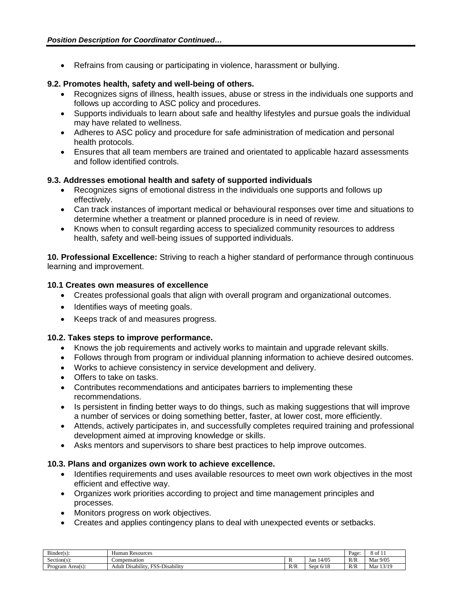• Refrains from causing or participating in violence, harassment or bullying.

### **9.2. Promotes health, safety and well-being of others.**

- Recognizes signs of illness, health issues, abuse or stress in the individuals one supports and follows up according to ASC policy and procedures.
- Supports individuals to learn about safe and healthy lifestyles and pursue goals the individual may have related to wellness.
- Adheres to ASC policy and procedure for safe administration of medication and personal health protocols.
- Ensures that all team members are trained and orientated to applicable hazard assessments and follow identified controls.

### **9.3. Addresses emotional health and safety of supported individuals**

- Recognizes signs of emotional distress in the individuals one supports and follows up effectively.
- Can track instances of important medical or behavioural responses over time and situations to determine whether a treatment or planned procedure is in need of review.
- Knows when to consult regarding access to specialized community resources to address health, safety and well-being issues of supported individuals.

**10. Professional Excellence:** Striving to reach a higher standard of performance through continuous learning and improvement.

### **10.1 Creates own measures of excellence**

- Creates professional goals that align with overall program and organizational outcomes.
- Identifies ways of meeting goals.
- Keeps track of and measures progress.

### **10.2. Takes steps to improve performance.**

- Knows the job requirements and actively works to maintain and upgrade relevant skills.
- Follows through from program or individual planning information to achieve desired outcomes.
- Works to achieve consistency in service development and delivery.
- Offers to take on tasks.
- Contributes recommendations and anticipates barriers to implementing these recommendations.
- Is persistent in finding better ways to do things, such as making suggestions that will improve a number of services or doing something better, faster, at lower cost, more efficiently.
- Attends, actively participates in, and successfully completes required training and professional development aimed at improving knowledge or skills.
- Asks mentors and supervisors to share best practices to help improve outcomes.

### **10.3. Plans and organizes own work to achieve excellence.**

- Identifies requirements and uses available resources to meet own work objectives in the most efficient and effective way.
- Organizes work priorities according to project and time management principles and processes.
- Monitors progress on work objectives.
- Creates and applies contingency plans to deal with unexpected events or setbacks.

| $\mathbf{r}$<br>Binder(s) | Human<br>Resources                                                                         |     |              |     | . .<br>8 of 11 |
|---------------------------|--------------------------------------------------------------------------------------------|-----|--------------|-----|----------------|
| Section(s)                | Compensation                                                                               |     | 14/05<br>Jan | R/R | Mar 9/05       |
| Program Area(s):          | $\cdots$<br>$\dots$<br>$\sim$<br><b>DOC</b><br>-Disability<br>Adult '<br>: Disability<br>້ | R/R | 6/18<br>Sept | R/R | 13/19<br>Mar   |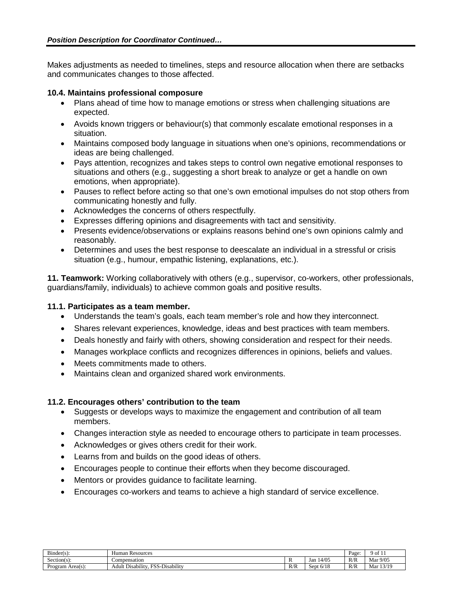Makes adjustments as needed to timelines, steps and resource allocation when there are setbacks and communicates changes to those affected.

### **10.4. Maintains professional composure**

- Plans ahead of time how to manage emotions or stress when challenging situations are expected.
- Avoids known triggers or behaviour(s) that commonly escalate emotional responses in a situation.
- Maintains composed body language in situations when one's opinions, recommendations or ideas are being challenged.
- Pays attention, recognizes and takes steps to control own negative emotional responses to situations and others (e.g., suggesting a short break to analyze or get a handle on own emotions, when appropriate).
- Pauses to reflect before acting so that one's own emotional impulses do not stop others from communicating honestly and fully.
- Acknowledges the concerns of others respectfully.
- Expresses differing opinions and disagreements with tact and sensitivity.
- Presents evidence/observations or explains reasons behind one's own opinions calmly and reasonably.
- Determines and uses the best response to deescalate an individual in a stressful or crisis situation (e.g., humour, empathic listening, explanations, etc.).

**11. Teamwork:** Working collaboratively with others (e.g., supervisor, co-workers, other professionals, guardians/family, individuals) to achieve common goals and positive results.

### **11.1. Participates as a team member.**

- Understands the team's goals, each team member's role and how they interconnect.
- Shares relevant experiences, knowledge, ideas and best practices with team members.
- Deals honestly and fairly with others, showing consideration and respect for their needs.
- Manages workplace conflicts and recognizes differences in opinions, beliefs and values.
- Meets commitments made to others.
- Maintains clean and organized shared work environments.

### **11.2. Encourages others' contribution to the team**

- Suggests or develops ways to maximize the engagement and contribution of all team members.
- Changes interaction style as needed to encourage others to participate in team processes.
- Acknowledges or gives others credit for their work.
- Learns from and builds on the good ideas of others.
- Encourages people to continue their efforts when they become discouraged.
- Mentors or provides guidance to facilitate learning.
- Encourages co-workers and teams to achieve a high standard of service excellence.

| $\mathbf{r}$ .<br>Binder(s) | Human<br>Resources                                                                 | Page      | -<br>' of 11         |     |             |
|-----------------------------|------------------------------------------------------------------------------------|-----------|----------------------|-----|-------------|
| Section(s):                 | Compensation                                                                       |           | 14/05<br>Jan         | R/R | 9/05<br>Mar |
| Area(s):<br>Program.        | $\cdots$<br>$\sim$<br>T00<br>$\cdots$<br>-Disability<br>. Disability<br>Adult<br>. | D/D<br>NN | 510<br>sept<br>-6/18 | R/R | 3/19<br>Mar |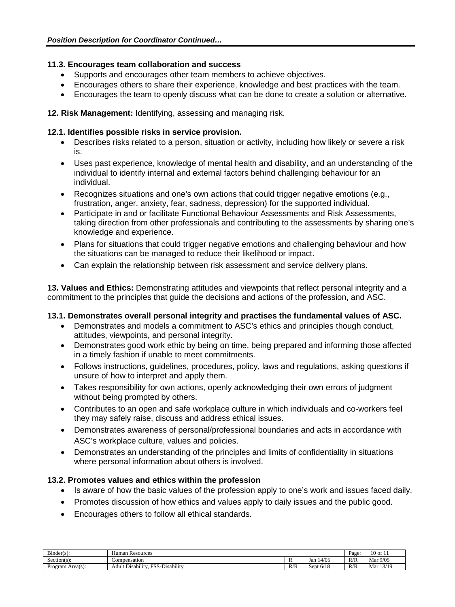# **11.3. Encourages team collaboration and success**

- Supports and encourages other team members to achieve objectives.
- Encourages others to share their experience, knowledge and best practices with the team.
- Encourages the team to openly discuss what can be done to create a solution or alternative.

# **12. Risk Management:** Identifying, assessing and managing risk.

### **12.1. Identifies possible risks in service provision.**

- Describes risks related to a person, situation or activity, including how likely or severe a risk is.
- Uses past experience, knowledge of mental health and disability, and an understanding of the individual to identify internal and external factors behind challenging behaviour for an individual.
- Recognizes situations and one's own actions that could trigger negative emotions (e.g., frustration, anger, anxiety, fear, sadness, depression) for the supported individual.
- Participate in and or facilitate Functional Behaviour Assessments and Risk Assessments, taking direction from other professionals and contributing to the assessments by sharing one's knowledge and experience.
- Plans for situations that could trigger negative emotions and challenging behaviour and how the situations can be managed to reduce their likelihood or impact.
- Can explain the relationship between risk assessment and service delivery plans.

**13. Values and Ethics:** Demonstrating attitudes and viewpoints that reflect personal integrity and a commitment to the principles that guide the decisions and actions of the profession, and ASC.

# **13.1. Demonstrates overall personal integrity and practises the fundamental values of ASC.**

- Demonstrates and models a commitment to ASC's ethics and principles though conduct, attitudes, viewpoints, and personal integrity.
- Demonstrates good work ethic by being on time, being prepared and informing those affected in a timely fashion if unable to meet commitments.
- Follows instructions, guidelines, procedures, policy, laws and regulations, asking questions if unsure of how to interpret and apply them.
- Takes responsibility for own actions, openly acknowledging their own errors of judgment without being prompted by others.
- Contributes to an open and safe workplace culture in which individuals and co-workers feel they may safely raise, discuss and address ethical issues.
- Demonstrates awareness of personal/professional boundaries and acts in accordance with ASC's workplace culture, values and policies.
- Demonstrates an understanding of the principles and limits of confidentiality in situations where personal information about others is involved.

# **13.2. Promotes values and ethics within the profession**

- Is aware of how the basic values of the profession apply to one's work and issues faced daily.
- Promotes discussion of how ethics and values apply to daily issues and the public good.
- Encourages others to follow all ethical standards.

| --<br>$B$ inder(s)<br>. . | Human Resources                                                          |           |                                    |     | $\sqrt{2}$<br>10 of |
|---------------------------|--------------------------------------------------------------------------|-----------|------------------------------------|-----|---------------------|
| Section(s):               | Compensation                                                             |           | 14/05<br>Jan                       | R/R | 9/05<br>. .<br>Mar  |
| Program Area(s).          | $\cdot \cdot \cdot$<br>F C<br><br>Disability<br>Disability<br>Adult<br>. | D/T<br>NN | $\sim$ 14.6<br>sor'<br>0/18<br>いしい | R/R | 12/10<br>Mar        |